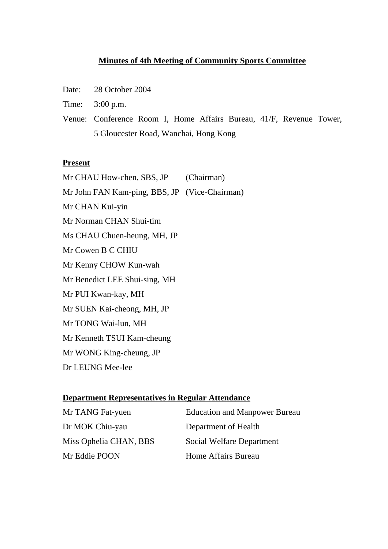# **Minutes of 4th Meeting of Community Sports Committee**

- Date: 28 October 2004
- Time: 3:00 p.m.
- Venue: Conference Room I, Home Affairs Bureau, 41/F, Revenue Tower, 5 Gloucester Road, Wanchai, Hong Kong

#### **Present**

Mr CHAU How-chen, SBS, JP (Chairman) Mr John FAN Kam-ping, BBS, JP (Vice-Chairman) Mr CHAN Kui-yin Mr Norman CHAN Shui-tim Ms CHAU Chuen-heung, MH, JP Mr Cowen B C CHIU Mr Kenny CHOW Kun-wah Mr Benedict LEE Shui-sing, MH Mr PUI Kwan-kay, MH Mr SUEN Kai-cheong, MH, JP Mr TONG Wai-lun, MH Mr Kenneth TSUI Kam-cheung Mr WONG King-cheung, JP Dr LEUNG Mee-lee

#### **Department Representatives in Regular Attendance**

| Mr TANG Fat-yuen       | <b>Education and Manpower Bureau</b> |
|------------------------|--------------------------------------|
| Dr MOK Chiu-yau        | Department of Health                 |
| Miss Ophelia CHAN, BBS | Social Welfare Department            |
| Mr Eddie POON          | Home Affairs Bureau                  |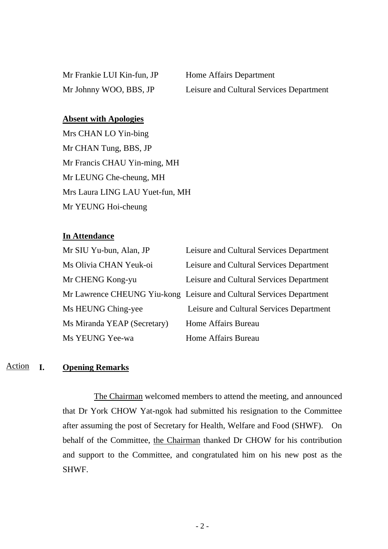Mr Frankie LUI Kin-fun, JP Home Affairs Department

Mr Johnny WOO, BBS, JP Leisure and Cultural Services Department

# **Absent with Apologies**

Mrs CHAN LO Yin-bing Mr CHAN Tung, BBS, JP Mr Francis CHAU Yin-ming, MH Mr LEUNG Che-cheung, MH Mrs Laura LING LAU Yuet-fun, MH Mr YEUNG Hoi-cheung

### **In Attendance**

| Mr SIU Yu-bun, Alan, JP     | Leisure and Cultural Services Department                             |
|-----------------------------|----------------------------------------------------------------------|
| Ms Olivia CHAN Yeuk-oi      | Leisure and Cultural Services Department                             |
| Mr CHENG Kong-yu            | Leisure and Cultural Services Department                             |
|                             | Mr Lawrence CHEUNG Yiu-kong Leisure and Cultural Services Department |
| Ms HEUNG Ching-yee          | Leisure and Cultural Services Department                             |
| Ms Miranda YEAP (Secretary) | Home Affairs Bureau                                                  |
| Ms YEUNG Yee-wa             | Home Affairs Bureau                                                  |

#### **I. Opening Remarks** Action

 The Chairman welcomed members to attend the meeting, and announced that Dr York CHOW Yat-ngok had submitted his resignation to the Committee after assuming the post of Secretary for Health, Welfare and Food (SHWF). On behalf of the Committee, the Chairman thanked Dr CHOW for his contribution and support to the Committee, and congratulated him on his new post as the SHWF.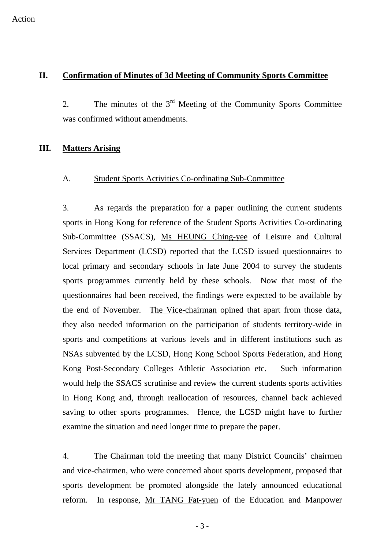### **II. Confirmation of Minutes of 3d Meeting of Community Sports Committee**

2. The minutes of the  $3<sup>rd</sup>$  Meeting of the Community Sports Committee was confirmed without amendments.

# **III. Matters Arising**

#### A. Student Sports Activities Co-ordinating Sub-Committee

3. As regards the preparation for a paper outlining the current students sports in Hong Kong for reference of the Student Sports Activities Co-ordinating Sub-Committee (SSACS), Ms HEUNG Ching-yee of Leisure and Cultural Services Department (LCSD) reported that the LCSD issued questionnaires to local primary and secondary schools in late June 2004 to survey the students sports programmes currently held by these schools. Now that most of the questionnaires had been received, the findings were expected to be available by the end of November. The Vice-chairman opined that apart from those data, they also needed information on the participation of students territory-wide in sports and competitions at various levels and in different institutions such as NSAs subvented by the LCSD, Hong Kong School Sports Federation, and Hong Kong Post-Secondary Colleges Athletic Association etc. Such information would help the SSACS scrutinise and review the current students sports activities in Hong Kong and, through reallocation of resources, channel back achieved saving to other sports programmes. Hence, the LCSD might have to further examine the situation and need longer time to prepare the paper.

4. The Chairman told the meeting that many District Councils' chairmen and vice-chairmen, who were concerned about sports development, proposed that sports development be promoted alongside the lately announced educational reform. In response, Mr TANG Fat-yuen of the Education and Manpower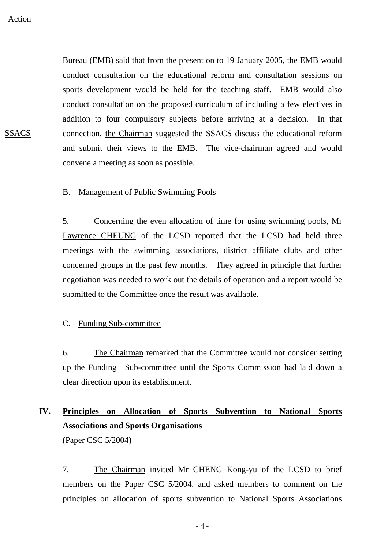**SSACS** 

Bureau (EMB) said that from the present on to 19 January 2005, the EMB would conduct consultation on the educational reform and consultation sessions on sports development would be held for the teaching staff. EMB would also conduct consultation on the proposed curriculum of including a few electives in addition to four compulsory subjects before arriving at a decision. In that connection, the Chairman suggested the SSACS discuss the educational reform and submit their views to the EMB. The vice-chairman agreed and would convene a meeting as soon as possible.

#### B. Management of Public Swimming Pools

5. Concerning the even allocation of time for using swimming pools, Mr Lawrence CHEUNG of the LCSD reported that the LCSD had held three meetings with the swimming associations, district affiliate clubs and other concerned groups in the past few months. They agreed in principle that further negotiation was needed to work out the details of operation and a report would be submitted to the Committee once the result was available.

### C. Funding Sub-committee

6. The Chairman remarked that the Committee would not consider setting up the Funding Sub-committee until the Sports Commission had laid down a clear direction upon its establishment.

# **IV. Principles on Allocation of Sports Subvention to National Sports Associations and Sports Organisations**

(Paper CSC 5/2004)

7. The Chairman invited Mr CHENG Kong-yu of the LCSD to brief members on the Paper CSC 5/2004, and asked members to comment on the principles on allocation of sports subvention to National Sports Associations

 $-4-$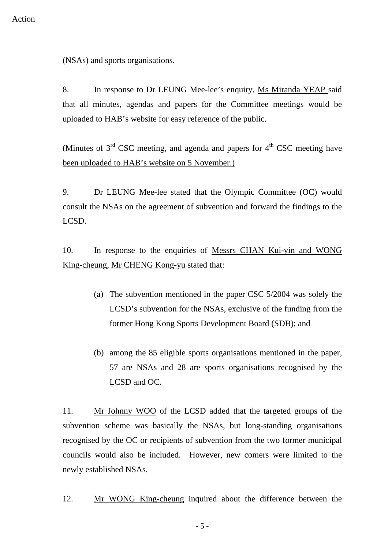(NSAs) and sports organisations.

8. In response to Dr LEUNG Mee-lee's enquiry, Ms Miranda YEAP said that all minutes, agendas and papers for the Committee meetings would be uploaded to HAB's website for easy reference of the public.

(Minutes of  $3<sup>rd</sup> CSC$  meeting, and agenda and papers for  $4<sup>th</sup> CSC$  meeting have been uploaded to HAB's website on 5 November.)

9. Dr LEUNG Mee-lee stated that the Olympic Committee (OC) would consult the NSAs on the agreement of subvention and forward the findings to the LCSD.

10. In response to the enquiries of Messrs CHAN Kui-yin and WONG King-cheung, Mr CHENG Kong-yu stated that:

- (a) The subvention mentioned in the paper CSC 5/2004 was solely the LCSD's subvention for the NSAs, exclusive of the funding from the former Hong Kong Sports Development Board (SDB); and
- (b) among the 85 eligible sports organisations mentioned in the paper, 57 are NSAs and 28 are sports organisations recognised by the LCSD and OC.

11. Mr Johnny WOO of the LCSD added that the targeted groups of the subvention scheme was basically the NSAs, but long-standing organisations recognised by the OC or recipients of subvention from the two former municipal councils would also be included. However, new comers were limited to the newly established NSAs.

12. Mr WONG King-cheung inquired about the difference between the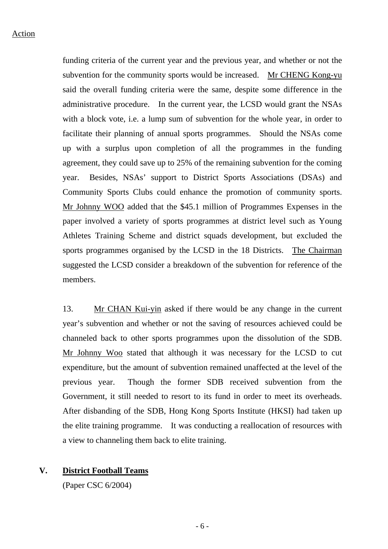funding criteria of the current year and the previous year, and whether or not the subvention for the community sports would be increased. Mr CHENG Kong-yu said the overall funding criteria were the same, despite some difference in the administrative procedure. In the current year, the LCSD would grant the NSAs with a block vote, i.e. a lump sum of subvention for the whole year, in order to facilitate their planning of annual sports programmes. Should the NSAs come up with a surplus upon completion of all the programmes in the funding agreement, they could save up to 25% of the remaining subvention for the coming year. Besides, NSAs' support to District Sports Associations (DSAs) and Community Sports Clubs could enhance the promotion of community sports. Mr Johnny WOO added that the \$45.1 million of Programmes Expenses in the paper involved a variety of sports programmes at district level such as Young Athletes Training Scheme and district squads development, but excluded the sports programmes organised by the LCSD in the 18 Districts. The Chairman suggested the LCSD consider a breakdown of the subvention for reference of the members.

13. Mr CHAN Kui-yin asked if there would be any change in the current year's subvention and whether or not the saving of resources achieved could be channeled back to other sports programmes upon the dissolution of the SDB. Mr Johnny Woo stated that although it was necessary for the LCSD to cut expenditure, but the amount of subvention remained unaffected at the level of the previous year. Though the former SDB received subvention from the Government, it still needed to resort to its fund in order to meet its overheads. After disbanding of the SDB, Hong Kong Sports Institute (HKSI) had taken up the elite training programme. It was conducting a reallocation of resources with a view to channeling them back to elite training.

# **V. District Football Teams**

(Paper CSC 6/2004)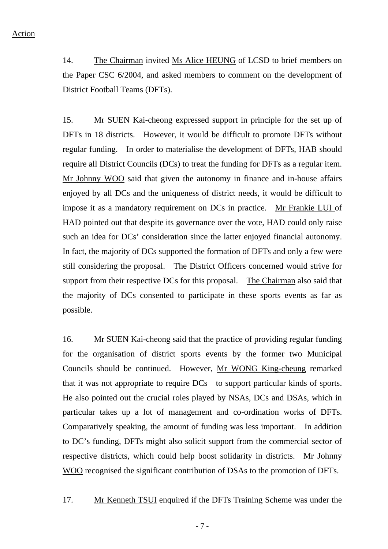14. The Chairman invited Ms Alice HEUNG of LCSD to brief members on the Paper CSC 6/2004, and asked members to comment on the development of District Football Teams (DFTs).

15. Mr SUEN Kai-cheong expressed support in principle for the set up of DFTs in 18 districts. However, it would be difficult to promote DFTs without regular funding. In order to materialise the development of DFTs, HAB should require all District Councils (DCs) to treat the funding for DFTs as a regular item. Mr Johnny WOO said that given the autonomy in finance and in-house affairs enjoyed by all DCs and the uniqueness of district needs, it would be difficult to impose it as a mandatory requirement on DCs in practice. Mr Frankie LUI of HAD pointed out that despite its governance over the vote, HAD could only raise such an idea for DCs' consideration since the latter enjoyed financial autonomy. In fact, the majority of DCs supported the formation of DFTs and only a few were still considering the proposal. The District Officers concerned would strive for support from their respective DCs for this proposal. The Chairman also said that the majority of DCs consented to participate in these sports events as far as possible.

16. Mr SUEN Kai-cheong said that the practice of providing regular funding for the organisation of district sports events by the former two Municipal Councils should be continued. However, Mr WONG King-cheung remarked that it was not appropriate to require DCs to support particular kinds of sports. He also pointed out the crucial roles played by NSAs, DCs and DSAs, which in particular takes up a lot of management and co-ordination works of DFTs. Comparatively speaking, the amount of funding was less important. In addition to DC's funding, DFTs might also solicit support from the commercial sector of respective districts, which could help boost solidarity in districts. Mr Johnny WOO recognised the significant contribution of DSAs to the promotion of DFTs.

17. Mr Kenneth TSUI enquired if the DFTs Training Scheme was under the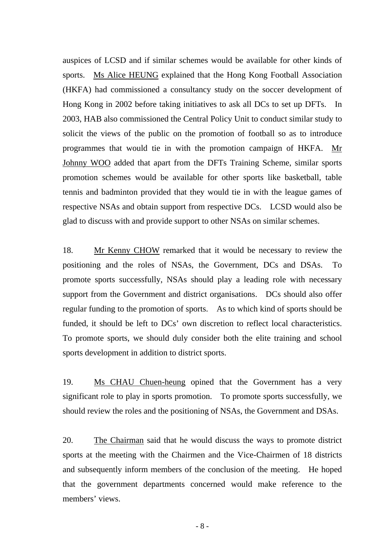auspices of LCSD and if similar schemes would be available for other kinds of sports. Ms Alice HEUNG explained that the Hong Kong Football Association (HKFA) had commissioned a consultancy study on the soccer development of Hong Kong in 2002 before taking initiatives to ask all DCs to set up DFTs. In 2003, HAB also commissioned the Central Policy Unit to conduct similar study to solicit the views of the public on the promotion of football so as to introduce programmes that would tie in with the promotion campaign of HKFA. Mr Johnny WOO added that apart from the DFTs Training Scheme, similar sports promotion schemes would be available for other sports like basketball, table tennis and badminton provided that they would tie in with the league games of respective NSAs and obtain support from respective DCs. LCSD would also be glad to discuss with and provide support to other NSAs on similar schemes.

18. Mr Kenny CHOW remarked that it would be necessary to review the positioning and the roles of NSAs, the Government, DCs and DSAs. To promote sports successfully, NSAs should play a leading role with necessary support from the Government and district organisations. DCs should also offer regular funding to the promotion of sports. As to which kind of sports should be funded, it should be left to DCs' own discretion to reflect local characteristics. To promote sports, we should duly consider both the elite training and school sports development in addition to district sports.

19. Ms CHAU Chuen-heung opined that the Government has a very significant role to play in sports promotion. To promote sports successfully, we should review the roles and the positioning of NSAs, the Government and DSAs.

20. The Chairman said that he would discuss the ways to promote district sports at the meeting with the Chairmen and the Vice-Chairmen of 18 districts and subsequently inform members of the conclusion of the meeting. He hoped that the government departments concerned would make reference to the members' views.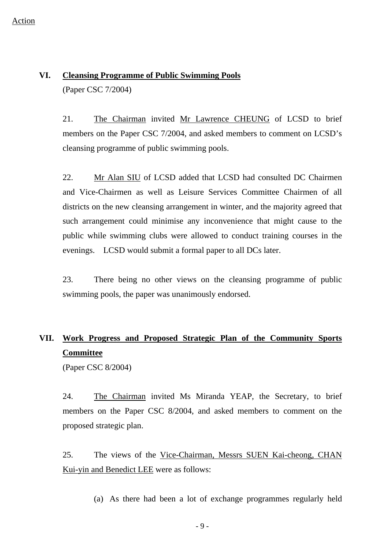# **VI. Cleansing Programme of Public Swimming Pools**

(Paper CSC 7/2004)

21. The Chairman invited Mr Lawrence CHEUNG of LCSD to brief members on the Paper CSC 7/2004, and asked members to comment on LCSD's cleansing programme of public swimming pools.

22. Mr Alan SIU of LCSD added that LCSD had consulted DC Chairmen and Vice-Chairmen as well as Leisure Services Committee Chairmen of all districts on the new cleansing arrangement in winter, and the majority agreed that such arrangement could minimise any inconvenience that might cause to the public while swimming clubs were allowed to conduct training courses in the evenings. LCSD would submit a formal paper to all DCs later.

23. There being no other views on the cleansing programme of public swimming pools, the paper was unanimously endorsed.

# **VII. Work Progress and Proposed Strategic Plan of the Community Sports Committee**

(Paper CSC 8/2004)

24. The Chairman invited Ms Miranda YEAP, the Secretary, to brief members on the Paper CSC 8/2004, and asked members to comment on the proposed strategic plan.

25. The views of the Vice-Chairman, Messrs SUEN Kai-cheong, CHAN Kui-yin and Benedict LEE were as follows:

(a) As there had been a lot of exchange programmes regularly held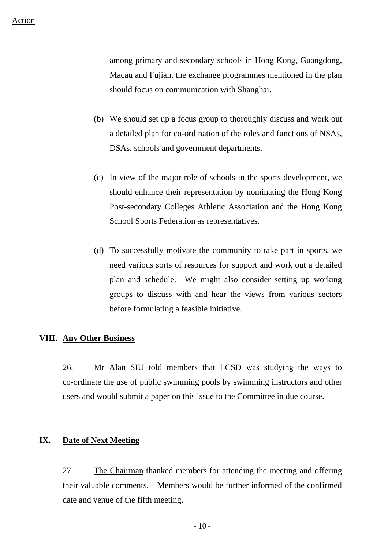among primary and secondary schools in Hong Kong, Guangdong, Macau and Fujian, the exchange programmes mentioned in the plan should focus on communication with Shanghai.

- (b) We should set up a focus group to thoroughly discuss and work out a detailed plan for co-ordination of the roles and functions of NSAs, DSAs, schools and government departments.
- (c) In view of the major role of schools in the sports development, we should enhance their representation by nominating the Hong Kong Post-secondary Colleges Athletic Association and the Hong Kong School Sports Federation as representatives.
- (d) To successfully motivate the community to take part in sports, we need various sorts of resources for support and work out a detailed plan and schedule. We might also consider setting up working groups to discuss with and hear the views from various sectors before formulating a feasible initiative.

### **VIII. Any Other Business**

26. Mr Alan SIU told members that LCSD was studying the ways to co-ordinate the use of public swimming pools by swimming instructors and other users and would submit a paper on this issue to the Committee in due course.

# **IX. Date of Next Meeting**

27. The Chairman thanked members for attending the meeting and offering their valuable comments. Members would be further informed of the confirmed date and venue of the fifth meeting.